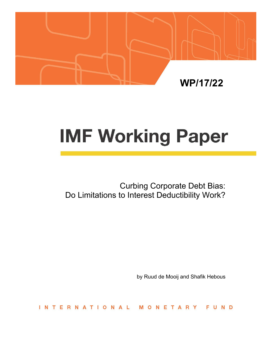

# **IMF Working Paper**

Curbing Corporate Debt Bias: Do Limitations to Interest Deductibility Work?

by Ruud de Mooij and Shafik Hebous

ERNATIONAL INT ETARY FUND M  $\Omega$ 'N.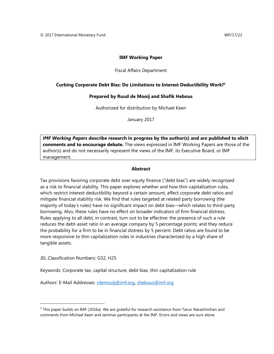# **IMF Working Paper**

#### Fiscal Affairs Department

# **Curbing Corporate Debt Bias: Do Limitations to Interest Deductibility Work?1**

#### **Prepared by Ruud de Mooij and Shafik Hebous**

Authorized for distribution by Michael Keen

January 2017

*IMF Working Papers* **describe research in progress by the author(s) and are published to elicit comments and to encourage debate.** The views expressed in IMF Working Papers are those of the author(s) and do not necessarily represent the views of the IMF, its Executive Board, or IMF management.

# **Abstract**

Tax provisions favoring corporate debt over equity finance ("debt bias") are widely recognized as a risk to financial stability. This paper explores whether and how thin-capitalization rules, which restrict interest deductibility beyond a certain amount, affect corporate debt ratios and mitigate financial stability risk. We find that rules targeted at related party borrowing (the majority of today's rules) have no significant impact on debt bias—which relates to third-party borrowing. Also, these rules have no effect on broader indicators of firm financial distress. Rules applying to all debt, in contrast, turn out to be effective: the presence of such a rule reduces the debt-asset ratio in an average company by 5 percentage points; and they reduce the probability for a firm to be in financial distress by 5 percent. Debt ratios are found to be more responsive to thin capitalization rules in industries characterized by a high share of tangible assets.

JEL Classification Numbers: G32, H25

Keywords: Corporate tax, capital structure, debt bias, thin capitalization rule

Authors' E-Mail Addresses: rdemooij@imf.org, shebous@imf.org

 $^{\rm 1}$  This paper builds on IMF (2016a). We are grateful for research assistance from Tarun Narashimhan and comments from Michael Keen and seminar participants at the IMF. Errors and views are ours alone.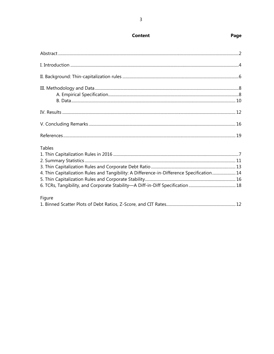| <b>Tables</b>                                                                             |  |
|-------------------------------------------------------------------------------------------|--|
|                                                                                           |  |
|                                                                                           |  |
|                                                                                           |  |
| 4. Thin Capitalization Rules and Tangibility: A Difference-in-Difference Specification 14 |  |
|                                                                                           |  |
|                                                                                           |  |
| Figure                                                                                    |  |
|                                                                                           |  |

# **Content**

# Page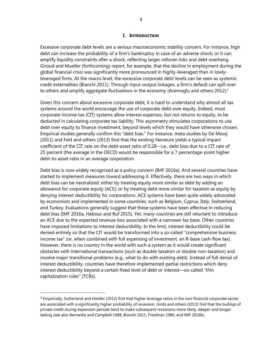#### **I. INTRODUCTION**

Excessive corporate debt levels are a serious macroeconomic stability concern. For instance, high debt can increase the probability of a firm's bankruptcy in case of an adverse shock; or it can amplify liquidity constraints after a shock, reflecting larger rollover risks and debt overhang. Giroud and Mueller (forthcoming) report, for example, that the decline in employment during the global financial crisis was significantly more pronounced in highly-leveraged than in lowlyleveraged firms. At the macro level, the excessive corporate debt levels can be seen as systemic credit externalities (Bianchi 2011). Through input-output linkages, a firm's default can spill over to others and amplify aggregate fluctuations in the economy (Acemoglu and others 2012).<sup>2</sup>

Given this concern about excessive corporate debt, it is hard to understand why almost all tax systems around the world encourage the use of corporate debt over equity. Indeed, most corporate income tax (CIT) systems allow interest expenses, but not returns to equity, to be deducted in calculating corporate tax liability. This asymmetry stimulates corporations to use debt over equity to finance investment, beyond levels which they would have otherwise chosen. Empirical studies generally confirm this "debt bias." For instance, meta studies by De Mooij (2011) and Feld and others (2013) find that the existing literature yields a typical impact coefficient of the CIT rate on the debt-asset ratio of 0.28—i.e., debt bias due to a CIT rate of 25 percent (the average in the OECD) would be responsible for a 7 percentage-point higher debt-to-asset ratio in an average corporation.

Debt bias is now widely recognized as a policy concern (IMF 2016a). And several countries have started to implement measures toward addressing it. Effectively, there are two ways in which debt bias can be neutralized: either by treating equity more similar as debt by adding an allowance for corporate equity (ACE); or by treating debt more similar for taxation as equity by denying interest deductibility for corporations. ACE systems have been quite widely advocated by economists and implemented in some countries, such as Belgium, Cyprus, Italy, Switzerland, and Turkey. Evaluations generally suggest that these systems have been effective in reducing debt bias (IMF 2016a, Hebous and Ruf 2015). Yet, many countries are still reluctant to introduce an ACE due to the expected revenue loss associated with a narrower tax base. Other countries have imposed limitations to interest deductibility. In the limit, interest deductibility could be denied entirely so that the CIT would be transformed into a so-called "comprehensive business income tax" (or, when combined with full expensing of investment, an R-base cash-flow tax). However, there is no country in the world with such a system as it would create significant obstacles with international transactions (such as double taxation or double non-taxation) and involve major transitional problems (e.g., what to do with existing debt). Instead of full denial of interest deductibility, countries have therefore implemented partial restrictions which deny interest deductibility beyond a certain fixed level of debt or interest—so-called "thin capitalization rules" (TCRs).

 $\overline{a}$ 

 $^2$  Empirically, Sutherland and Hoeller (2012) find that higher leverage ratios in the non-financial corporate sector are associated with a significantly higher probability of recession. Jordà and others (2013) find that the buildup of private credit during expansion periods tend to make subsequent recessions more likely, deeper and longer lasting (see also Bernanke and Campbell 1988, Bianchi 2011, Friedman 1986, and IMF 2016b).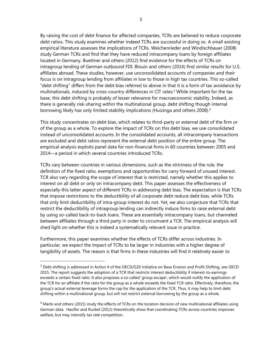By raising the cost of debt finance for affected companies, TCRs are believed to reduce corporate debt ratios. This study examines whether indeed TCRs are successful in doing so. A small existing empirical literature assesses the implications of TCRs. Weichenrieder and Windischbauer (2008) study German TCRs and find that they have reduced intracompany loans by foreign affiliates located in Germany. Buettner and others (2012) find evidence for the effects of TCRs on intragroup lending of German outbound FDI. Blouin and others (2014) find similar results for U.S. affiliates abroad. These studies, however, use unconsolidated accounts of companies and their focus is on intragroup lending from affiliates in low to those in high tax countries. This so-called "debt shifting" differs from the debt bias referred to above in that it is a form of tax avoidance by multinationals, induced by cross-country differences in CIT rates.<sup>3</sup> While important for the tax base, this debt shifting is probably of lesser relevance for macroeconomic stability. Indeed, as there is generally risk-sharing within the multinational group, debt shifting though internal borrowing likely has only limited stability implications (Huizinga and others 2008).<sup>4</sup>

This study concentrates on debt bias, which relates to third-party or external debt of the firm or of the group as a whole. To explore the impact of TCRs on this debt bias, we use consolidated instead of unconsolidated accounts. In the consolidated accounts, all intracompany transactions are excluded and debt ratios represent the external debt position of the entire group. The empirical analysis exploits panel data for non-financial firms in 60 countries between 2005 and 2014—a period in which several countries introduced TCRs.

TCRs vary between countries in various dimensions, such as the strictness of the rule, the definition of the fixed ratio, exemptions and opportunities for carry forward of unused interest. TCR also vary regarding the scope of interest that is restricted, namely whether this applies to interest on all debt or only on intracompany debt. This paper assesses the effectiveness of especially this latter aspect of different TCRs in addressing debt bias. The expectation is that TCRs that impose restrictions to the deductibility of all corporate debt reduce debt bias, while TCRs that only limit deductibility of intra-group interest do not. Yet, we also conjecture that TCRs that restrict the deductibility of intragroup lending can indirectly induce firms to raise external debt by using so-called back-to-back loans. These are essentially intracompany loans, but channeled between affiliates through a third party in order to circumvent a TCR. The empirical analysis will shed light on whether this is indeed a systematically relevant issue in practice.

Furthermore, this paper examines whether the effects of TCRs differ across industries. In particular, we expect the impact of TCRs to be larger in industries with a higher degree of tangibility of assets. The reason is that firms in these industries will find it relatively easier to

 $\overline{a}$ 

<sup>&</sup>lt;sup>3</sup> Debt shifting is addressed in Action 4 of the OECD/G20 initiative on Base Erosion and Profit Shifting, see OECD 2015. The report suggests the adoption of a TCR that restricts interest deductibility if interest-to-earnings exceeds a certain fixed ratio. It also proposes a so-called 'group escape', which would nullify the application of the TCR for an affiliate if the ratio for the group as a whole exceeds the fixed TCR ratio. Effectively, therefore, the group's actual external leverage forms the cap for the application of the TCR. Thus, it may help to limit debt shifting within a multinational group, but will not restrict external borrowing by the group as a whole.

<sup>&</sup>lt;sup>4</sup> Merlo and others (2015) study the effects of TCRs on the location decision of new multinational affiliates using German data. Haufler and Runkel (2012) theoretically show that coordinating TCRs across countries improves welfare, but may intensify tax rate competition.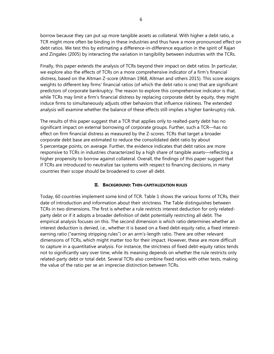borrow because they can put up more tangible assets as collateral. With higher a debt ratio, a TCR might more often be binding in these industries and thus have a more pronounced effect on debt ratios. We test this by estimating a difference-in-difference equation in the spirit of Rajan and Zingales (2005) by interacting the variation in tangibility between industries with the TCRs.

Finally, this paper extends the analysis of TCRs beyond their impact on debt ratios. In particular, we explore also the effects of TCRs on a more comprehensive indicator of a firm's financial distress, based on the Altman Z-score (Altman 1968, Altman and others 2015). This score assigns weights to different key firms' financial ratios (of which the debt ratio is one) that are significant predictors of corporate bankruptcy. The reason to explore this comprehensive indicator is that, while TCRs may limit a firm's financial distress by replacing corporate debt by equity, they might induce firms to simultaneously adjusts other behaviors that influence riskiness. The extended analysis will examine whether the balance of these effects still implies a higher bankruptcy risk.

The results of this paper suggest that a TCR that applies only to realted-party debt has no significant impact on external borrowing of corporate groups. Further, such a TCR––has no effect on firm financial distress as measured by the Z-scores. TCRs that target a broader corporate debt base are estimated to reduce the consolidated debt ratio by about 5 percentage points, on average. Further, the evidence indicates that debt ratios are more responsive to TCRs in industries characterized by a high share of tangible assets—reflecting a higher propensity to borrow against collateral. Overall, the findings of this paper suggest that if TCRs are introduced to neutralize tax systems with respect to financing decisions, in many countries their scope should be broadened to cover all debt.

# **II. BACKGROUND: THIN-CAPITALIZATION RULES**

Today, 60 countries implement some kind of TCR. Table 1 shows the various forms of TCRs, their date of introduction and information about their strictness. The Table distinguishes between TCRs in two dimensions. The first is whether a rule restricts interest deduction for only relatedparty debt or if it adopts a broader definition of debt potentially restricting all debt. The empirical analysis focuses on this. The second dimension is which ratio determines whether an interest deduction is denied, i.e., whether it is based on a fixed debt-equity ratio, a fixed interestearning ratio ("earning stripping rules") or an arm's-length ratio. There are other relevant dimensions of TCRs, which might matter too for their impact. However, these are more difficult to capture in a quantitative analysis. For instance, the strictness of fixed debt-equity ratios tends not to significantly vary over time, while its meaning depends on whether the rule restricts only related-party debt or total debt. Several TCRs also combine fixed ratios with other tests, making the value of the ratio per se an imprecise distinction between TCRs.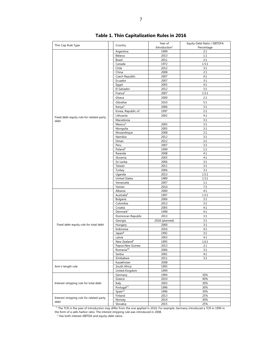|                                                  |                          | Year of                   | Equity-Debt Ratio / EBITDFA |
|--------------------------------------------------|--------------------------|---------------------------|-----------------------------|
| Thin Cap Rule Type                               | Country                  | Introduction <sup>1</sup> | Percentage                  |
|                                                  | Argentina                | 1999                      | 2:1                         |
|                                                  | Belarus                  | 2013                      | 1:1                         |
|                                                  | Brazil                   | 2011                      | 2:1                         |
|                                                  | Canada                   | 1972                      | 1.5:1                       |
|                                                  | Chile                    | 2012                      | 3:1                         |
|                                                  | China                    | 2008                      | 2:1                         |
|                                                  | Czech Republic           | 2007                      | 4:1                         |
|                                                  | Ecuador                  | 2007                      | 3:1                         |
|                                                  | Egypt                    | 2005                      | 4:1                         |
|                                                  | El Salvador              | 2012                      | 3:1                         |
|                                                  | France <sup>2</sup>      | 2007                      | 1.5:1                       |
|                                                  | Ghana                    | 2000                      | 2:1                         |
|                                                  | Gibraltar                | 2010                      | 5:1                         |
|                                                  | Kenya <sup>3</sup>       | 2006                      | 3:1                         |
|                                                  | Korea, Republic of       | 1997                      | 2:1                         |
|                                                  | Lithuania                | 2002                      | 4:1                         |
| Fixed debt-equity rule for related-party<br>debt | Macedonia                |                           | 3:1                         |
|                                                  | Mexico <sup>4</sup>      | 2005                      | 3:1                         |
|                                                  | Mongolia                 | 2005                      | 3:1                         |
|                                                  | Mozambique               | 2008                      | 2:1                         |
|                                                  | Namibia                  | 2012                      | 3:1                         |
|                                                  | Oman                     | 2012                      | 2:1                         |
|                                                  | Peru                     | 2007                      | 3:1                         |
|                                                  | Poland <sup>5</sup>      | 1999                      | 1:1                         |
|                                                  | Rwanda                   | 2008                      | 4:1                         |
|                                                  | Slovenia                 | 2005                      | 4:1                         |
|                                                  | Sri Lanka                | 2006                      | 3:1                         |
|                                                  | Taiwan                   | 2011                      | 3:1                         |
|                                                  | Turkey                   | 2006                      | 3:1                         |
|                                                  | Uganda                   | 2013                      | 1.5:1                       |
|                                                  | <b>United States</b>     | 1989                      | 1.5:1                       |
|                                                  | Venezuela                | 2007                      | 1:1                         |
|                                                  | Yemen                    | 2010                      | 7:3                         |
|                                                  | Albania                  | 2000                      | 4:1                         |
|                                                  | Australia <sup>6</sup>   | 1997                      | 1.5:1                       |
|                                                  | Bulgaria                 | 2006                      | 3:1                         |
|                                                  | Colombia                 | 2013                      | 3:1                         |
|                                                  | Croatia                  | 2005                      | 4:1                         |
|                                                  | Denmark <sup>7</sup>     | 1998                      | 4:1                         |
|                                                  | Dominican Republic       | 2013                      | 3:1                         |
|                                                  | Georgia                  | 2018 (planned)            | 3:1                         |
| Fixed debt-equity rule for total debt            | Hungary                  | 2000                      | 3:1                         |
|                                                  | Indonesia                | 2016                      | 4:1                         |
|                                                  | Japan <sup>8</sup>       | 1992                      | 3:1                         |
|                                                  | Latvia                   | 2003                      | 4:1                         |
|                                                  | New Zealand <sup>9</sup> | 1995                      | 1.6:1                       |
|                                                  | Papua New Guinea         | 2013                      | 2:1                         |
|                                                  | Romania <sup>10</sup>    | 2006                      | 3:1                         |
|                                                  | Serbia                   | 2001                      | 4:1                         |
|                                                  | Zimbabwe                 | 2011                      | 3:1                         |
|                                                  | Kazakhstan               | 2008                      |                             |
| Arm's-length rule                                | South Africa             | 1995                      |                             |
|                                                  | United Kingdom           | 1999                      |                             |
|                                                  | Germany                  | 1994                      | 30%                         |
|                                                  | Greece                   | 2010                      | 40%                         |
| Interest-stripping rule for total debt           | Italy                    | 2003                      | 30%                         |
|                                                  | Portugal <sup>11</sup>   | 1996                      | 30%                         |
|                                                  | Spin <sup>11</sup>       | 1996                      | 30%                         |
| Interest-stripping rule for related-party        | Finland                  | 2013                      | 25%                         |
| debt                                             | Norway                   | 2014                      | 30%                         |
|                                                  | Slovakia                 | 2015                      | 25%                         |

| Table 1. Thin Capitalization Rules in 2016 |  |
|--------------------------------------------|--|
|--------------------------------------------|--|

 $1$  The TCR in the year of introduction may differ from the one applied in 2016. For example, Germany introduced a TCR in 1994 in the form of a safe-harbor ratio. The interest stripping rule was introduced in 2008.

 $<sup>2</sup>$  Has both interest-EBITDA and equity-debt ratios.</sup>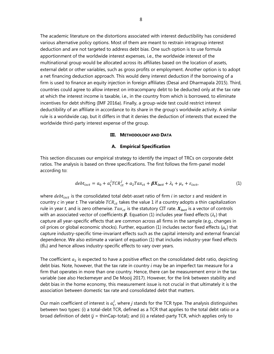The academic literature on the distortions associated with interest deductibility has considered various alternative policy options. Most of them are meant to restrain intragroup interest deduction and are not targeted to address debt bias. One such option is to use formula apportionment of the worldwide interest expenses, i.e., the worldwide interest of the multinational group would be allocated across its affiliates based on the location of assets, external debt or other variables, such as gross profits or employment. Another option is to adopt a net financing deduction approach. This would deny interest deduction if the borrowing of a firm is used to finance an equity injection in foreign affiliates (Desai and Dharmapala 2015). Third, countries could agree to allow interest on intracompany debt to be deducted only at the tax rate at which the interest income is taxable, i.e., in the country from which is borrowed, to eliminate incentives for debt shifting (IMF 2016a). Finally, a group-wide test could restrict interest deductibility of an affiliate in accordance to its share in the group's worldwide activity. A similar rule is a worldwide cap, but it differs in that it denies the deduction of interests that exceed the worldwide third-party interest expense of the group.

#### **III. METHODOLOGY AND DATA**

#### **A. Empirical Specification**

This section discusses our empirical strategy to identify the impact of TRCs on corporate debt ratios. The analysis is based on three specifications. The first follows the firm-panel model according to:

$$
debt_{isct} = a_0 + a_1^j TCR_{ct}^j + a_2Tax_{ct} + \beta X_{isct} + \lambda_t + \mu_s + \varepsilon_{isct},
$$
\n(1)

where  $debt_{i, cct}$  is the consolidated total debt-asset ratio of firm  $i$  in sector  $s$  and resident in country *c* in year *t*. The variable TCR<sub>ct</sub> takes the value 1 if a country adopts a thin capitalization rule in year *t*, and is zero otherwise.  $Tax_{ct}$  is the statutory CIT rate.  $X_{i, 1}$  is a vector of controls with an associated vector of coefficients  $\beta$ . Equation (1) includes year fixed effects ( $\lambda_t$ ) that capture all year-specific effects that are common across all firms in the sample (e.g., changes in oil prices or global economic shocks). Further, equation (1) includes sector fixed effects  $(\mu_s)$  that capture industry-specific time-invariant effects such as the capital intensity and external financial dependence. We also estimate a variant of equation (1) that includes industry-year fixed effects (*θst*) and hence allows industry-specific effects to vary over years.

The coefficient  $a_2$  is expected to have a positive effect on the consolidated debt ratio, depicting debt bias. Note, however, that the tax rate in country *i* may be an imperfect tax measure for a firm that operates in more than one country. Hence, there can be measurement error in the tax variable (see also Heckemeyer and De Mooij 2017). However, for the link between stability and debt bias in the home economy, this measurement issue is not crucial in that ultimately it is the association between domestic tax rate and consolidated debt that matters.

Our main coefficient of interest is  $a_1^j$ , where  $j$  stands for the TCR type. The analysis distinguishes between two types: (i) a total-debt TCR, defined as a TCR that applies to the total debt ratio or a broad definition of debt (*j* = thinCap-total); and (ii) a related-party TCR, which applies only to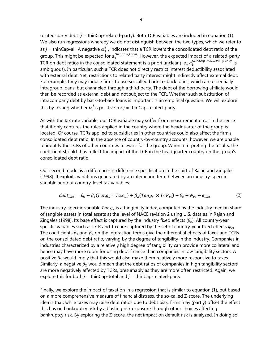related-party debt (*j* = thinCap-related-party). Both TCR variables are included in equation (1). We also run regressions whereby we do not distinguish between the two types, which we refer to as  $j$  = thinCap-all. A negative  $\alpha_1^j$  , indicates that a TCR lowers the consolidated debt ratio of the group. This might be expected for  $a_1^{thinCap\_total}$ . However, the expected impact of a related-party TCR on debt ratios in the consolidated statement is a priori unclear (i.e.,  $a_1^{thinCap-related-party}$  is ambiguous). In particular, such a TCR does not directly restrict interest deductibility associated with external debt. Yet, restrictions to related party interest might indirectly affect external debt. For example, they may induce firms to use so-called back-to-back loans, which are essentially intragroup loans, but channeled through a third party. The debt of the borrowing affiliate would then be recorded as external debt and not subject to the TCR. Whether such substitution of intracompany debt by back-to-back loans is important is an empirical question. We will explore this by testing whether  $\alpha_1^j$ is positive for  $j$  = thinCap-related-party.

As with the tax rate variable, our TCR variable may suffer from measurement error in the sense that it only captures the rules applied in the country where the headquarter of the group is located. Of course, TCRs applied to subsidiaries in other countries could also affect the firm's consolidated debt ratio. In the absence of country-by-country accounts, however, we are unable to identify the TCRs of other countries relevant for the group. When interpreting the results, the coefficient should thus reflect the impact of the TCR in the headquarter country on the group's consolidated debt ratio.

Our second model is a difference-in-difference specification in the spirt of Rajan and Zingales (1998). It exploits variations generated by an interaction term between an industry-specific variable and our country-level tax variables:

$$
debt_{isct} = \beta_0 + \beta_1 (Tang_s \times Tax_{ct}) + \beta_2 (Tang_s \times TCR_{ct}) + \theta_s + \psi_{ct} + e_{isct}.
$$
 (2)

The industry-specific variable  $Tang_s$  is a tangibility index, computed as the industry median share of tangible assets in total assets at the level of NACE revision 2 using U.S. data as in Rajan and Zingales (1998). Its base effect is captured by the industry fixed effects ( $\theta_s$ ). All country-year specific variables such as TCR and Tax are captured by the set of country-year fixed effects  $\psi_{ct}$ . The coefficients  $\beta_1$  and  $\beta_2$  on the interaction terms give the differential effects of taxes and TCRs on the consolidated debt ratio, varying by the degree of tangibility in the industry. Companies in industries characterized by a relatively high degree of tangibility can provide more collateral and hence may have more room for using debt finance than companies in low tangibility sectors. A positive  $\beta_1$  would imply that this would also make them relatively more responsive to taxes Similarly, a negative  $\beta_2$  would mean that the debt ratios of companies in high tangibility sectors are more negatively affected by TCRs, presumably as they are more often restricted. Again, we explore this for both  $j =$  thinCap-total and  $j =$  thinCap-related-party.

Finally, we explore the impact of taxation in a regression that is similar to equation (1), but based on a more comprehensive measure of financial distress, the so-called Z-score. The underlying idea is that, while taxes may raise debt ratios due to debt bias, firms may (partly) offset the effect this has on bankruptcy risk by adjusting risk exposure through other choices affecting bankruptcy risk. By exploring the Z-score, the net impact on default risk is analyzed. In doing so,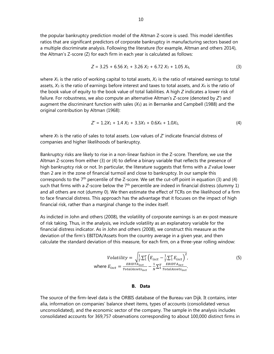the popular bankruptcy prediction model of the Altman Z-score is used. This model identifies ratios that are significant predictors of corporate bankruptcy in manufacturing sectors based on a multiple discriminate analysis. Following the literature (for example, Altman and others 2014), the Altman's Z-score (Z) for each firm in each year is calculated as follows:

$$
Z = 3.25 + 6.56 X_1 + 3.26 X_2 + 6.72 X_3 + 1.05 X_4,
$$
 (3)

where *X*1 is the ratio of working capital to total assets, *X*2 is the ratio of retained earnings to total assets, *X*3 is the ratio of earnings before interest and taxes to total assets, and *X*4 is the ratio of the book value of equity to the book value of total liabilities. A high *Z* indicates a lower risk of failure. For robustness, we also compute an alternative Altman's *Z*-score (denoted by *Z'*) and augment the discriminant function with sales (*X5*) as in Bernanke and Campbell (1988) and the original contribution by Altman (1968):

$$
Z' = 1.2X_1 + 1.4X_2 + 3.3X_3 + 0.6X_4 + 1.0X_5,
$$
\n<sup>(4)</sup>

where *X*5 is the ratio of sales to total assets. Low values of *Z'* indicate financial distress of companies and higher likelihoods of bankruptcy.

Bankruptcy risks are likely to rise in a non-linear fashion in the Z-score. Therefore, we use the Altman Z-scores from either (3) or (4) to define a binary variable that reflects the presence of high bankruptcy risk or not. In particular, the literature suggests that firms with a  $Z$  value lower than 2 are in the zone of financial turmoil and close to bankruptcy. In our sample this corresponds to the 7<sup>th</sup> percentile of the Z-score. We set the cut-off point in equation (3) and (4) such that firms with a  $Z$ -score below the  $7<sup>th</sup>$  percentile are indeed in financial distress (dummy 1) and all others are not (dummy 0). We then estimate the effect of TCRs on the likelihood of a firm to face financial distress. This approach has the advantage that it focuses on the impact of high financial risk, rather than a marginal change to the index itself.

As indicted in John and others (2008), the volatility of corporate earnings is an ex-post measure of risk taking. Thus, in the analysis, we include volatility as an explanatory variable for the financial distress indicator. As in John and others (2008), we construct this measure as the deviation of the firm's EBITDA/Assets from the country average in a given year, and then calculate the standard deviation of this measure, for each firm, on a three-year rolling window:

*Volatility* = 
$$
\sqrt{\frac{1}{T} \sum_{i=1}^{T} \left( E_{isct} - \frac{1}{T} \sum_{i=1}^{T} E_{isct} \right)^2}
$$
,  
where  $E_{isct} = \frac{EBIDTA_{isct}}{TotalAssets_{ist}} - \frac{1}{N} \sum_{i=1}^{T} \frac{EBIDTA_{isct}}{TotalAssets_{isct}}$ . (5)

#### **B. Data**

The source of the firm-level data is the ORBIS database of the Bureau van Dijk. It contains, inter alia, information on companies' balance sheet items, types of accounts (consolidated versus unconsolidated), and the economic sector of the company. The sample in the analysis includes consolidated accounts for 369,757 observations corresponding to about 100,000 distinct firms in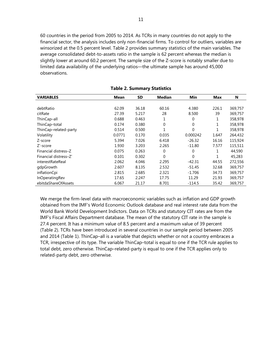60 countries in the period from 2005 to 2014. As TCRs in many countries do not apply to the financial sector, the analysis includes only non-financial firms. To control for outliers, variables are winsorized at the 0.5 percent level. Table 2 provides summary statistics of the main variables. The average consolidated debt-to-assets ratio in the sample is 62 percent whereas the median is slightly lower at around 60.2 percent. The sample size of the Z-score is notably smaller due to limited data availability of the underlying ratios—the ultimate sample has around 45,000 observations.

| <b>VARIABLES</b>      | Mean   | <b>SD</b> | <b>Median</b> | Min      | <b>Max</b> | N       |
|-----------------------|--------|-----------|---------------|----------|------------|---------|
|                       |        |           |               |          |            |         |
| debtRatio             | 62.09  | 36.18     | 60.16         | 4.380    | 226.1      | 369,757 |
| citRate               | 27.39  | 5.217     | 28            | 8.500    | 39         | 369,757 |
| ThinCap-all           | 0.688  | 0.463     | 1             | 0        | 1          | 358,978 |
| ThinCap-total         | 0.174  | 0.380     | 0             | 0        |            | 358,978 |
| ThinCap-related-party | 0.514  | 0.500     |               | 0        | 1          | 358,978 |
| Volatility            | 0.0771 | 0.170     | 0.035         | 0.000242 | 1.647      | 264,432 |
| Z-score               | 5.394  | 7.026     | 6.418         | $-26.32$ | 16.16      | 115,924 |
| Z'-score              | 1.930  | 3.203     | 2.265         | $-11.80$ | 7.577      | 115,511 |
| Financial distress-Z  | 0.075  | 0.263     | 0             | $\Omega$ |            | 44,590  |
| Financial distress-Z' | 0.101  | 0.302     | 0             | $\Omega$ | 1          | 45,283  |
| interestRateReal      | 2.062  | 4.046     | 2.295         | $-42.31$ | 44.55      | 272,556 |
| gdpGrowth             | 2.607  | 8.135     | 2.532         | $-51.45$ | 32.68      | 369,757 |
| inflationCpi          | 2.815  | 2.685     | 2.321         | $-1.706$ | 34.73      | 369,757 |
| InOperatingRev        | 17.65  | 2.247     | 17.75         | 11.29    | 21.93      | 369,757 |
| ebitdaShareOfAssets   | 6.067  | 21.17     | 8.701         | $-114.5$ | 35.42      | 369,757 |

# **Table 2. Summary Statistics**

We merge the firm-level data with macroeconomic variables such as inflation and GDP growth obtained from the IMF's World Economic Outlook database and real interest rate data from the World Bank World Development Indictors. Data on TCRs and statutory CIT rates are from the IMF's Fiscal Affairs Department database. The mean of the statutory CIT rate in the sample is 27.4 percent. It has a minimum value of 8.5 percent and a maximum value of 39 percent (Table 2). TCRs have been introduced in several countries in our sample period between 2005 and 2014 (Table 1). ThinCap–all is a variable that depicts whether or not a country embraces a TCR, irrespective of its type. The variable ThinCap–total is equal to one if the TCR rule applies to total debt, zero otherwise. ThinCap–related-party is equal to one if the TCR applies only to related-party debt, zero otherwise.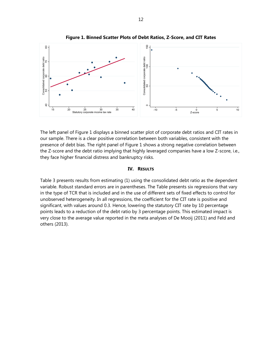

**Figure 1. Binned Scatter Plots of Debt Ratios, Z-Score, and CIT Rates**

The left panel of Figure 1 displays a binned scatter plot of corporate debt ratios and CIT rates in our sample. There is a clear positive correlation between both variables, consistent with the presence of debt bias. The right panel of Figure 1 shows a strong negative correlation between the Z-score and the debt ratio implying that highly leveraged companies have a low Z-score, i.e., they face higher financial distress and bankruptcy risks.

#### **IV. RESULTS**

Table 3 presents results from estimating (1) using the consolidated debt ratio as the dependent variable. Robust standard errors are in parentheses. The Table presents six regressions that vary in the type of TCR that is included and in the use of different sets of fixed effects to control for unobserved heterogeneity. In all regressions, the coefficient for the CIT rate is positive and significant, with values around 0.3. Hence, lowering the statutory CIT rate by 10 percentage points leads to a reduction of the debt ratio by 3 percentage points. This estimated impact is very close to the average value reported in the meta analyses of De Mooij (2011) and Feld and others (2013).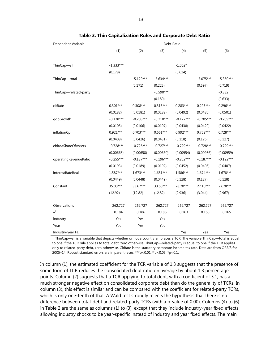| Dependent Variable    | Debt Ratio  |             |             |             |             |             |  |
|-----------------------|-------------|-------------|-------------|-------------|-------------|-------------|--|
|                       | (1)         | (2)         | (3)         | (4)         | (5)         | (6)         |  |
|                       |             |             |             |             |             |             |  |
| ThinCap-all           | $-1.333***$ |             |             | $-1.062*$   |             |             |  |
|                       | (0.178)     |             |             | (0.624)     |             |             |  |
| ThinCap-total         |             | $-5.129***$ | $-5.634***$ |             | $-5.075***$ | $-5.360***$ |  |
|                       |             | (0.171)     | (0.225)     |             | (0.597)     | (0.719)     |  |
| ThinCap-related-party |             |             | $-0.590***$ |             |             | $-0.332$    |  |
|                       |             |             | (0.180)     |             |             | (0.633)     |  |
| citRate               | $0.301***$  | $0.308***$  | $0.313***$  | $0.283***$  | $0.293***$  | $0.296***$  |  |
|                       | (0.0182)    | (0.0181)    | (0.0182)    | (0.0492)    | (0.0485)    | (0.0501)    |  |
| gdpGrowth             | $-0.178***$ | $-0.203***$ | $-0.210***$ | $-0.177***$ | $-0.205***$ | $-0.209***$ |  |
|                       | (0.0105)    | (0.0106)    | (0.0107)    | (0.0438)    | (0.0420)    | (0.0422)    |  |
| inflationCpi          | $0.921***$  | $0.703***$  | $0.661***$  | $0.992***$  | $0.752***$  | $0.728***$  |  |
|                       | (0.0408)    | (0.0426)    | (0.0431)    | (0.118)     | (0.126)     | (0.127)     |  |
| ebitdaShareOfAssets   | $-0.728***$ | $-0.726***$ | $-0.727***$ | $-0.729***$ | $-0.728***$ | $-0.729***$ |  |
|                       | (0.00663)   | (0.00658)   | (0.00660)   | (0.00954)   | (0.00986)   | (0.00959)   |  |
| operatingRevenueRatio | $-0.255***$ | $-0.187***$ | $-0.196***$ | $-0.252***$ | $-0.187***$ | $-0.192***$ |  |
|                       | (0.0193)    | (0.0189)    | (0.0192)    | (0.0452)    | (0.0406)    | (0.0407)    |  |
| interestRateReal      | $1.587***$  | $1.673***$  | $1.681***$  | 1.586***    | $1.674***$  | 1.678***    |  |
|                       | (0.0449)    | (0.0448)    | (0.0449)    | (0.128)     | (0.127)     | (0.128)     |  |
| Constant              | 35.00***    | 33.67***    | 33.60***    | 28.20***    | 27.10***    | 27.28***    |  |
|                       | (12.92)     | (12.82)     | (12.82)     | (2.936)     | (3.044)     | (2.967)     |  |
|                       |             |             |             |             |             |             |  |
| Observations          | 262,727     | 262,727     | 262,727     | 262,727     | 262,727     | 262,727     |  |
| $R^2$                 | 0.184       | 0.186       | 0.186       | 0.163       | 0.165       | 0.165       |  |
| Industry              | Yes         | Yes         | Yes         |             |             |             |  |
| Year                  | Yes         | Yes         | Yes         |             |             |             |  |
| Industry-year FE      |             |             |             | Yes         | Yes         | Yes         |  |

|  |  | Table 3. Thin Capitalization Rules and Corporate Debt Ratio |
|--|--|-------------------------------------------------------------|
|--|--|-------------------------------------------------------------|

 ThinCap—all is a variable that depicts whether or not a country embraces a TCR. The variable ThinCap—total is equal to one if the TCR rule applies to total debt, zero otherwise. ThinCap—related-party is equal to one if the TCR applies only to related-party debt, zero otherwise. CitRate is the statutory corporate income tax rate. Data are from ORBIS for 2005–14. Robust standard errors are in parentheses. \*\*\*p<0.01,\*\*p<0.05, \*p<0.1.

In column (1), the estimated coefficient for the TCR variable of 1.3 suggests that the presence of some form of TCR reduces the consolidated debt ratio on average by about 1.3 percentage points. Column (2) suggests that a TCR applying to total debt, with a coefficient of 5.1, has a much stronger negative effect on consolidated corporate debt than do the generality of TCRs. In column (3), this effect is similar and can be compared with the coefficient for related-party TCRs, which is only one-tenth of that. A Wald test strongly rejects the hypothesis that there is no difference between total-debt and related-party TCRs (with a p-value of 0.00). Columns (4) to (6) in Table 2 are the same as columns (1) to (3), except that they include industry-year fixed effects allowing industry shocks to be year-specific instead of industry and year fixed effects. The main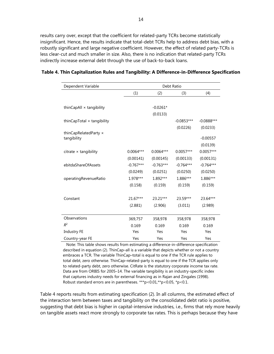results carry over, except that the coefficient for related-party TCRs become statistically insignificant. Hence, the results indicate that total-debt TCRs help to address debt bias, with a robustly significant and large negative coefficient. However, the effect of related party-TCRs is less clear-cut and much smaller in size. Also, there is no indication that related-party TCRs indirectly increase external debt through the use of back-to-back loans.

| Dependent Variable              | Debt Ratio  |             |              |              |  |  |  |  |
|---------------------------------|-------------|-------------|--------------|--------------|--|--|--|--|
|                                 | (1)         | (2)         | (3)          | (4)          |  |  |  |  |
|                                 |             |             |              |              |  |  |  |  |
| thinCapAll × tangibility        |             | $-0.0261*$  |              |              |  |  |  |  |
|                                 |             | (0.0133)    |              |              |  |  |  |  |
| thinCapTotal × tangibility      |             |             | $-0.0853***$ | $-0.0888***$ |  |  |  |  |
|                                 |             |             | (0.0226)     | (0.0233)     |  |  |  |  |
| thinCapRelatedParty ×           |             |             |              |              |  |  |  |  |
| tangibility                     |             |             |              | $-0.00557$   |  |  |  |  |
|                                 |             |             |              | (0.0139)     |  |  |  |  |
| $c$ itrate $\times$ tangibility | $0.0064***$ | $0.0064***$ | $0.0057***$  | $0.0057***$  |  |  |  |  |
|                                 | (0.00141)   | (0.00145)   | (0.00133)    | (0.00131)    |  |  |  |  |
| ebitdaShareOfAssets             | $-0.767***$ | $-0.763***$ | $-0.764***$  | $-0.764***$  |  |  |  |  |
|                                 | (0.0249)    | (0.0251)    | (0.0250)     | (0.0250)     |  |  |  |  |
| operatingRevenueRatio           | 1.978***    | 1.892***    | 1.886***     | 1.886***     |  |  |  |  |
|                                 | (0.158)     | (0.159)     | (0.159)      | (0.159)      |  |  |  |  |
|                                 |             |             |              |              |  |  |  |  |
| Constant                        | $21.67***$  | 23.21***    | 23.59***     | 23.64***     |  |  |  |  |
|                                 | (2.881)     | (2.906)     | (3.011)      | (2.989)      |  |  |  |  |
|                                 |             |             |              |              |  |  |  |  |
| Observations                    | 369,757     | 358,978     | 358,978      | 358,978      |  |  |  |  |
| $R^2$                           | 0.169       | 0.169       | 0.169        | 0.169        |  |  |  |  |
| <b>Industry FE</b>              | Yes         | Yes         | Yes          | Yes          |  |  |  |  |
| Country-year FE                 | Yes         | Yes         | Yes          | Yes          |  |  |  |  |

# **Table 4. Thin Capitalization Rules and Tangibility: A Difference-in-Difference Specification**

 Note: This table shows results from estimating a difference-in-difference specification described in equation (2). ThinCap–all is a variable that depicts whether or not a country embraces a TCR. The variable ThinCap–total is equal to one if the TCR rule applies to total debt, zero otherwise. ThinCap–related-party is equal to one if the TCR applies only to related-party debt, zero otherwise. CitRate is the statutory corporate income tax rate. Data are from ORBIS for 2005–14. The variable tangibility is an industry-specific index that captures industry needs for external financing as in Rajan and Zingales (1998). Robust standard errors are in parentheses. \*\*\*p<0.01,\*\*p<0.05, \*p<0.1.

Table 4 reports results from estimating specification (2). In all columns, the estimated effect of the interaction term between taxes and tangibility on the consolidated debt ratio is positive, suggesting that debt bias is higher in capital-intensive industries, i.e., firms that rely more heavily on tangible assets react more strongly to corporate tax rates. This is perhaps because they have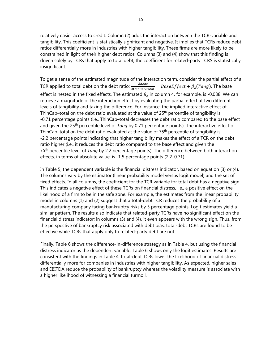relatively easier access to credit. Column (2) adds the interaction between the TCR-variable and tangibility. This coefficient is statistically significant and negative. It implies that TCRs reduce debt ratios differentially more in industries with higher tangibility. These firms are more likely to be constrained in light of their higher debt ratios. Columns (3) and (4) show that this finding is driven solely by TCRs that apply to total debt; the coefficient for related-party TCRS is statistically insignificant.

To get a sense of the estimated magnitude of the interaction term, consider the partial effect of a TCR applied to total debt on the debt ratio:  $\frac{\partial debt}{\partial thinCapTotal} = BaseEffect + \beta_2 (Tang)$ . The base effect is nested in the fixed effects. The estimated  $\beta_2$  in column 4, for example, is -0.088. We can retrieve a magnitude of the interaction effect by evaluating the partial effect at two different levels of tangibility and taking the difference. For instance, the implied interactive effect of ThinCap–total on the debt ratio evaluated at the value of  $25<sup>th</sup>$  percentile of tangibility is -0.71 percentage points (i.e., ThinCap–total decreases the debt ratio compared to the base effect and given the 25th percentile level of *Tang* by 0.71 percentage points). The interactive effect of ThinCap–total on the debt ratio evaluated at the value of  $75<sup>th</sup>$  percentile of tangibility is -2.2 percentage points indicating that higher tangibility makes the effect of a TCR on the debt ratio higher (i.e., it reduces the debt ratio compared to the base effect and given the 75th percentile level of *Tang* by 2.2 percentage points). The difference between both interaction effects, in terms of absolute value, is -1.5 percentage points (2.2–0.71).

In Table 5, the dependent variable is the financial distress indicator, based on equation (3) or (4). The columns vary by the estimator (linear probability model versus logit model) and the set of fixed effects. In all columns, the coefficient for the TCR variable for total debt has a negative sign. This indicates a negative effect of these TCRs on financial distress, i.e., a positive effect on the likelihood of a firm to be in the safe zone. For example, the estimates from the linear probability model in columns (1) and (2) suggest that a total-debt TCR reduces the probability of a manufacturing company facing bankruptcy risks by 5 percentage points. Logit estimates yield a similar pattern. The results also indicate that related-party TCRs have no significant effect on the financial distress indicator; in columns (3) and (4), it even appears with the wrong sign. Thus, from the perspective of bankruptcy risk associated with debt bias, total-debt TCRs are found to be effective while TCRs that apply only to related-party debt are not.

Finally, Table 6 shows the difference-in-difference strategy as in Table 4, but using the financial distress indicator as the dependent variable. Table 6 shows only the logit estimates. Results are consistent with the findings in Table 4: total-debt TCRs lower the likelihood of financial distress differentially more for companies in industries with higher tangibility. As expected, higher sales and EBITDA reduce the probability of bankruptcy whereas the volatility measure is associate with a higher likelihood of witnessing a financial turmoil.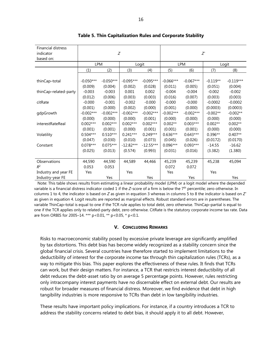| <b>Financial distress</b> |                     |             |             |              |             |             |            |             |
|---------------------------|---------------------|-------------|-------------|--------------|-------------|-------------|------------|-------------|
| indicator                 | Z                   |             |             | $Z^{\prime}$ |             |             |            |             |
| based on:                 |                     |             |             |              |             |             |            |             |
|                           | <b>LPM</b><br>Logit |             |             |              | LPM         | Logit       |            |             |
|                           | (1)                 | (2)         | (3)<br>(4)  |              | (5)         | (6)         | (7)        | (8)         |
|                           |                     |             |             |              |             |             |            |             |
| thinCap-total             | $-0.050***$         | $-0.050***$ | $-0.095***$ | $-0.095***$  | $-0.066***$ | $-0.067***$ | $-0.119**$ | $-0.119***$ |
|                           | (0.009)             | (0.004)     | (0.002)     | (0.028)      | (0.011)     | (0.005)     | (0.051)    | (0.004)     |
| thinCap-related-party     | $-0.003$            | $-0.003$    | 0.001       | 0.002        | $-0.004$    | $-0.004$    | $-0.002$   | $-0.002$    |
|                           | (0.012)             | (0.006)     | (0.003)     | (0.003)      | (0.016)     | (0.007)     | (0.003)    | (0.003)     |
| citRate                   | $-0.000$            | $-0.001$    | $-0.002$    | $-0.000$     | $-0.000$    | $-0.000$    | $-0.0002$  | $-0.0002$   |
|                           | (0.001)             | (0.000)     | (0.002)     | (0.000)      | (0.001)     | (0.000)     | (0.0003)   | (0.0003)    |
| gdpGrowth                 | $-0.002***$         | $-0.002***$ | $-0.002***$ | $-0.002***$  | $-0.002***$ | $-0.002***$ | $-0.002**$ | $-0.002**$  |
|                           | (0.000)             | (0.000)     | (0.000)     | (0.001)      | (0.000)     | (0.000)     | (0.000)    | (0.000)     |
| interestRateReal          | $0.002***$          | $0.002***$  | $0.002***$  | $0.002***$   | $0.002**$   | $0.003***$  | $0.002**$  | $0.002**$   |
|                           | (0.001)             | (0.001)     | (0.000)     | (0.001)      | (0.001)     | (0.001)     | (0.000)    | (0.000)     |
| Volatility                | $0.504***$          | $0.510***$  | $0.241***$  | $0.249***$   | $0.636***$  | $0.643***$  | $0.396**$  | $0.407**$   |
|                           | (0.047)             | (0.030)     | (0.010)     | (0.073)      | (0.045)     | (0.026)     | (0.0172)   | (0.0170)    |
| Constant                  | $0.078***$          | $0.075***$  | $-12.82***$ | $-12.55***$  | $0.096***$  | $0.093***$  | $-14.55$   | $-16.62$    |
|                           | (0.025)             | (0.013)     | (0.574)     | (0.993)      | (0.031)     | (0.016)     | (3.382)    | (1.380)     |
|                           |                     |             |             |              |             |             |            |             |
| Observations              | 44,590              | 44,590      | 44,589      | 44,466       | 45,239      | 45,239      | 45,238     | 45,094      |
| $R^2$                     | 0.053               | 0.053       |             |              | 0.072       | 0.072       |            |             |
| Industry and year FE      | Yes                 |             | Yes         |              | Yes         |             | Yes        |             |
| Industry-year FE          |                     | Yes         |             | Yes          |             | Yes         |            | Yes         |

**Table 5. Thin Capitalization Rules and Corporate Stability**

 Note: This table shows results from estimating a linear probability model (LPM) or a logit model where the depended variable is a financial distress indicator coded 1 if the *Z-*score of a firm is below the 7th percentile; zero otherwise. In columns 1 to 4, the indicator is based on *Z* as given in equation 3 whereas in columns 5 to 8 the indicator is based on *Z'* as given in equation 4. Logit results are reported as marginal effects. Robust standard errors are in parentheses. The variable ThinCap–total is equal to one if the TCR rule applies to total debt, zero otherwise. ThinCap–partial is equal to one if the TCR applies only to related-party debt, zero otherwise. CitRate is the statutory corporate income tax rate. Data are from ORBIS for 2005–14. \*\*\* p<0.01, \*\* p<0.05, \* p<0.1.

# **V. CONCLUDING REMARKS**

Risks to macroeconomic stability posed by excessive private leverage are significantly amplified by tax distortions. This debt bias has become widely recognized as a stability concern since the global financial crisis. Several countries have therefore started to implement limitations to the deductibility of interest for the corporate income tax through thin capitalization rules (TCRs), as a way to mitigate this bias. This paper explores the effectiveness of these rules. It finds that TCRs can work, but their design matters. For instance, a TCR that restricts interest deductibility of all debt reduces the debt-asset ratio by on average 5 percentage points. However, rules restricting only intracompany interest payments have no discernable effect on external debt. Our results are robust for broader measures of financial distress. Moreover, we find evidence that debt in high tangibility industries is more responsive to TCRs than debt in low tangibility industries.

These results have important policy implications. For instance, if a country introduces a TCR to address the stability concerns related to debt bias, it should apply it to all debt. However,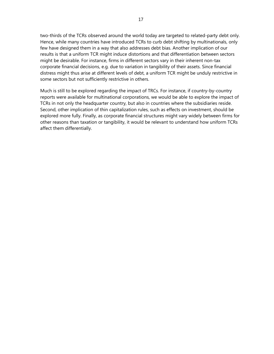two-thirds of the TCRs observed around the world today are targeted to related-party debt only. Hence, while many countries have introduced TCRs to curb debt shifting by multinationals, only few have designed them in a way that also addresses debt bias. Another implication of our results is that a uniform TCR might induce distortions and that differentiation between sectors might be desirable. For instance, firms in different sectors vary in their inherent non-tax corporate financial decisions, e.g. due to variation in tangibility of their assets. Since financial distress might thus arise at different levels of debt, a uniform TCR might be unduly restrictive in some sectors but not sufficiently restrictive in others.

Much is still to be explored regarding the impact of TRCs. For instance, if country-by-country reports were available for multinational corporations, we would be able to explore the impact of TCRs in not only the headquarter country, but also in countries where the subsidiaries reside. Second, other implication of thin capitalization rules, such as effects on investment, should be explored more fully. Finally, as corporate financial structures might vary widely between firms for other reasons than taxation or tangibility, it would be relevant to understand how uniform TCRs affect them differentially.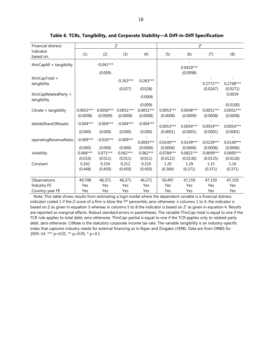| <b>Financial distress</b>            | Ζ           |             |             |             | $Z^{\prime}$ |             |             |             |
|--------------------------------------|-------------|-------------|-------------|-------------|--------------|-------------|-------------|-------------|
| indicator<br>based on:               | (1)         | (2)         | (3)         | (4)         | (5)          | (6)         | (7)         | (8)         |
| thinCapAll × tangibility             |             | $-0.041***$ |             |             |              | $0.0410***$ |             |             |
|                                      |             | (0.009)     |             |             |              | (0.0098)    |             |             |
| thinCapTotal ×<br>tangibility        |             |             | $-0.263***$ | $-0.263***$ |              |             | $0.2772***$ | $0.2748***$ |
|                                      |             |             | (0.027)     | (0.028)     |              |             | (0.0267)    | (0.0271)    |
| thinCapRelatedParty ×<br>tangibility |             |             |             | $-0.0006$   |              |             |             | 0.0039      |
|                                      |             |             |             | (0.009)     |              |             |             | (0.0100)    |
| Citrate $\times$ tangibility         | $0.0053***$ | $0.0050***$ | $0.0051***$ | $0.0051***$ | $0.0053***$  | $0.0048***$ | $0.0051***$ | $0.0051***$ |
|                                      | (0.0008)    | (0.0009)    | (0.0008)    | (0.0008)    | (0.0008)     | (0.0009)    | (0.0008)    | (0.0008)    |
| ebitdaShareOfAssets                  | $-0.004***$ | $-0.004***$ | $-0.004***$ | $-0.004***$ | $0.0053***$  | $0.0054***$ | 0.0054***   | $0.0054***$ |
|                                      | (0.000)     | (0.000)     | (0.000)     | (0.000)     | (0.0001)     | (0.0001)    | (0.0001)    | (0.0001)    |
| operatingRevenueRatio                | $-0.009***$ | $-0.010***$ | $-0.009***$ | $0.0093***$ | $0.0140***$  | $0.0149***$ | 0.0139***   | $0.0140***$ |
|                                      | (0.000)     | (0.000)     | (0.000)     | (0.0006)    | (0.0006)     | (0.0006)    | (0.0006)    | (0.0006)    |
| Volatility                           | $0.068***$  | $0.071***$  | $0.062***$  | $0.062***$  | 0.0784***    | $0.0821***$ | 0.0699***   | 0.0695***   |
|                                      | (0.010)     | (0.011)     | (0.011)     | (0.011)     | (0.0122)     | (0.0130)    | (0.0125)    | (0.0126)    |
| Constant                             | 0.242       | 0.334       | 0.212       | 0.210       | 1.20         | 1.29        | 1.15        | 1.16        |
|                                      | (0.448)     | (0.450)     | (0.450)     | (0.450)     | (0.369)      | (0.371)     | (0.371)     | (0.371)     |
| Observations                         | 49,708      | 46,371      | 46,371      | 46,371      | 50,497       | 47,159      | 47,159      | 47,159      |
| <b>Industry FE</b>                   | Yes         | Yes         | Yes         | Yes         | Yes          | Yes         | Yes         | Yes         |
| Country-year FE                      | Yes         | Yes         | Yes         | Yes         | Yes          | Yes         | Yes         | Yes         |

**Table 6. TCRs, Tangibility, and Corporate Stability—A Diff-in-Diff Specification** 

 Note: This table shows results from estimating a logit model where the dependent variable is a financial distress indicator coded 1 if the *Z-*score of a firm is blow the 7th percentile; zero otherwise. n columns 1 to 4, the indicator is based on *Z* as given in equation 3 whereas in columns 5 to 8 the indicator is based on *Z'* as given in equation 4. Results are reported as marginal effects. Robust standard errors in parentheses. The variable ThinCap–total is equal to one if the TCR rule applies to total debt, zero otherwise. ThinCap–partial is equal to one if the TCR applies only to related-party debt, zero otherwise. CitRate is the statutory corporate income tax rate. The variable tangibility is an industry-specific index that captures industry needs for external financing as in Rajan and Zingales (1998). Data are from ORBIS for 2005–14. \*\*\* p<0.01, \*\* p<0.05, \* p<0.1.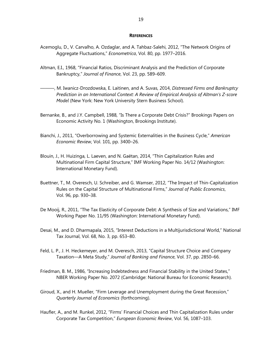#### **REFERENCES**

- Acemoglu, D., V. Carvalho, A. Ozdaglar, and A. Tahbaz-Salehi, 2012, "The Network Origins of Aggregate Fluctuations," *Econometrica*, Vol. 80, pp. 1977–2016.
- Altman, E.I., 1968, "Financial Ratios, Discriminant Analysis and the Prediction of Corporate Bankruptcy," *Journal of Finance*, Vol. 23, pp. 589–609.
- ———, M. Iwanicz-Drozdowska, E. Laitinen, and A. Suvas, 2014, *Distressed Firms and Bankruptcy Prediction in an International Context: A Review of Empirical Analysis of Altman's Z-score Model* (New York: New York University Stern Business School).
- Bernanke, B., and J.Y. Campbell, 1988, "Is There a Corporate Debt Crisis?" Brookings Papers on Economic Activity No. 1 (Washington, Brookings Institute).
- Bianchi, J., 2011, "Overborrowing and Systemic Externalities in the Business Cycle," *American Economic Review*, Vol. 101, pp. 3400–26.
- Blouin, J., H. Huizinga, L. Laeven, and N. Gaëtan, 2014, "Thin Capitalization Rules and Multinational Firm Capital Structure," IMF Working Paper No. 14/12 (Washington: International Monetary Fund).
- Buettner, T., M. Overesch, U. Schreiber, and G. Wamser, 2012, "The Impact of Thin-Capitalization Rules on the Capital Structure of Multinational Firms," *Journal of Public Economics*, Vol. 96, pp. 930–38.
- De Mooij, R., 2011, "The Tax Elasticity of Corporate Debt: A Synthesis of Size and Variations," IMF Working Paper No. 11/95 (Washington: International Monetary Fund).
- Desai, M., and D. Dharmapala, 2015, "Interest Deductions in a Multijurisdictional World," National Tax Journal, Vol. 68, No. 3, pp. 653–80.
- Feld, L. P., J. H. Heckemeyer, and M. Overesch, 2013, "Capital Structure Choice and Company Taxation—A Meta Study," *Journal of Banking and Finance*, Vol. 37, pp. 2850–66.
- Friedman, B. M., 1986, "Increasing Indebtedness and Financial Stability in the United States," NBER Working Paper No. 2072 (Cambridge: National Bureau for Economic Research).
- Giroud, X., and H. Mueller, "Firm Leverage and Unemployment during the Great Recession," *Quarterly Journal of Economics* (forthcoming).
- Haufler, A., and M. Runkel, 2012, "Firms' Financial Choices and Thin Capitalization Rules under Corporate Tax Competition," *European Economic Review*, Vol. 56, 1087–103.